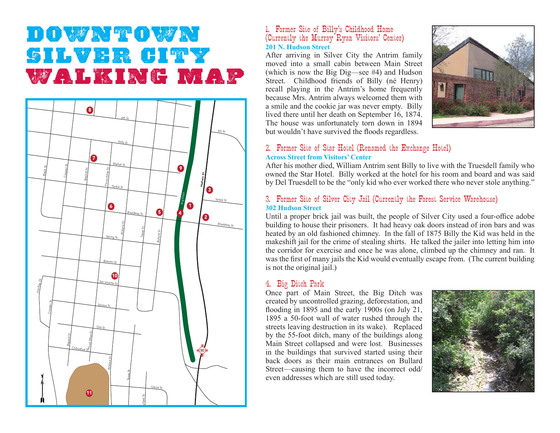# **Downtown Silver CityWalking Map**



### 1. Former Site of Billy's Childhood Home (Currently the Murray Ryan Visitors' Center) **201 N. Hudson Street**

After arriving in Silver City the Antrim family moved into a small cabin between Main Street (which is now the Big Dig—see #4) and Hudson Street. Childhood friends of Billy (né Henry) recall playing in the Antrim's home frequently because Mrs. Antrim always welcomed them with a smile and the cookie jar was never empty. Billy lived there until her death on September 16, 1874. The house was unfortunately torn down in 1894 but wouldn't have survived the floods regardless.



#### 2. Former Site of Star Hotel (Renamed the Exchange Hotel) **Across Street from Visitors' Center**

After his mother died, William Antrim sent Billy to live with the Truesdell family who owned the Star Hotel. Billy worked at the hotel for his room and board and was said by Del Truesdell to be the "only kid who ever worked there who never stole anything."

#### 3. Former Site of Silver City Jail (Currently the Forest Service Warehouse) **302 Hudson Street**

Until a proper brick jail was built, the people of Silver City used a four-office adobe building to house their prisoners. It had heavy oak doors instead of iron bars and was heated by an old fashioned chimney. In the fall of 1875 Billy the Kid was held in the makeshift jail for the crime of stealing shirts. He talked the jailer into letting him into the corridor for exercise and once he was alone, climbed up the chimney and ran. It was the first of many jails the Kid would eventually escape from. (The current building is not the original jail.)

#### 4. Big Ditch Park

Once part of Main Street, the Big Ditch was created by uncontrolled grazing, deforestation, and flooding in 1895 and the early 1900s (on July 21,  $1895$  a  $50$ -foot wall of water rushed through the streets leaving destruction in its wake). Replaced by the 55-foot ditch, many of the buildings along Main Street collapsed and were lost. Businesses in the buildings that survived started using their back doors as their main entrances on Bullard Street—causing them to have the incorrect odd/ even addresses which are still used today.